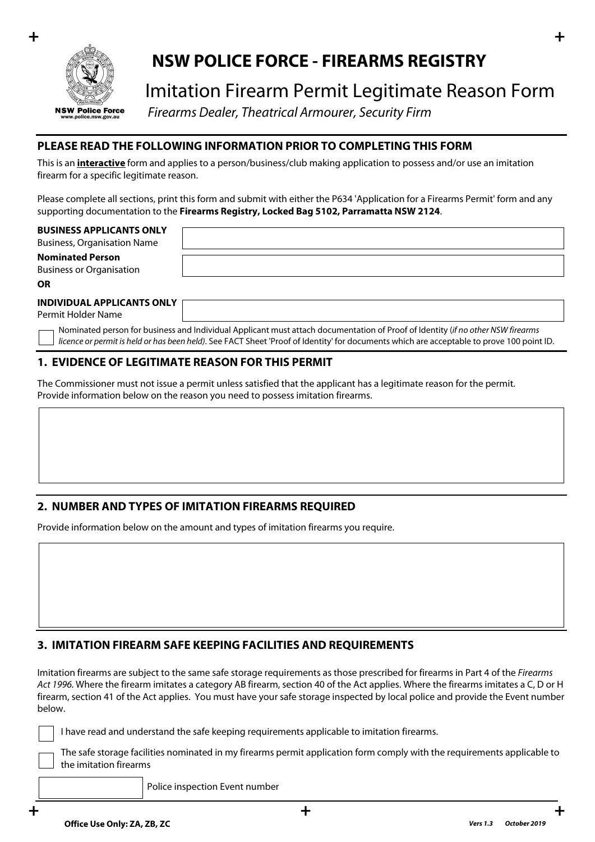

# **NSW POLICE FORCE - FIREARMS REGISTRY**

# Imitation Firearm Permit Legitimate Reason Form

 *Firearms Dealer, Theatrical Armourer, Security Firm*

## **PLEASE READ THE FOLLOWING INFORMATION PRIOR TO COMPLETING THIS FORM**

This is an **interactive** form and applies to a person/business/club making application to possess and/or use an imitation firearm for a specific legitimate reason.

Please complete all sections, print this form and submit with either the P634 'Application for a Firearms Permit' form and any supporting documentation to the **Firearms Registry, Locked Bag 5102, Parramatta NSW 2124**.

#### **BUSINESS APPLICANTS ONLY**

Business, Organisation Name **Nominated Person**

Business or Organisation

**OR**

#### **INDIVIDUAL APPLICANTS ONLY**

Permit Holder Name

Nominated person for business and Individual Applicant must attach documentation of Proof of Identity (*if no other NSW firearms licence or permit is held or has been held)*. See FACT Sheet 'Proof of Identity' for documents which are acceptable to prove 100 point ID.

### **1. EVIDENCE OF LEGITIMATE REASON FOR THIS PERMIT**

The Commissioner must not issue a permit unless satisfied that the applicant has a legitimate reason for the permit. Provide information below on the reason you need to possess imitation firearms.

# **2. NUMBER AND TYPES OF IMITATION FIREARMS REQUIRED**

Provide information below on the amount and types of imitation firearms you require.

# **3. IMITATION FIREARM SAFE KEEPING FACILITIES AND REQUIREMENTS**

Imitation firearms are subject to the same safe storage requirements as those prescribed for firearms in Part 4 of the *Firearms Act 1996.* Where the firearm imitates a category AB firearm, section 40 of the Act applies. Where the firearms imitates a C, D or H firearm, section 41 of the Act applies. You must have your safe storage inspected by local police and provide the Event number below.

I have read and understand the safe keeping requirements applicable to imitation firearms.

The safe storage facilities nominated in my firearms permit application form comply with the requirements applicable to the imitation firearms

Police inspection Event number